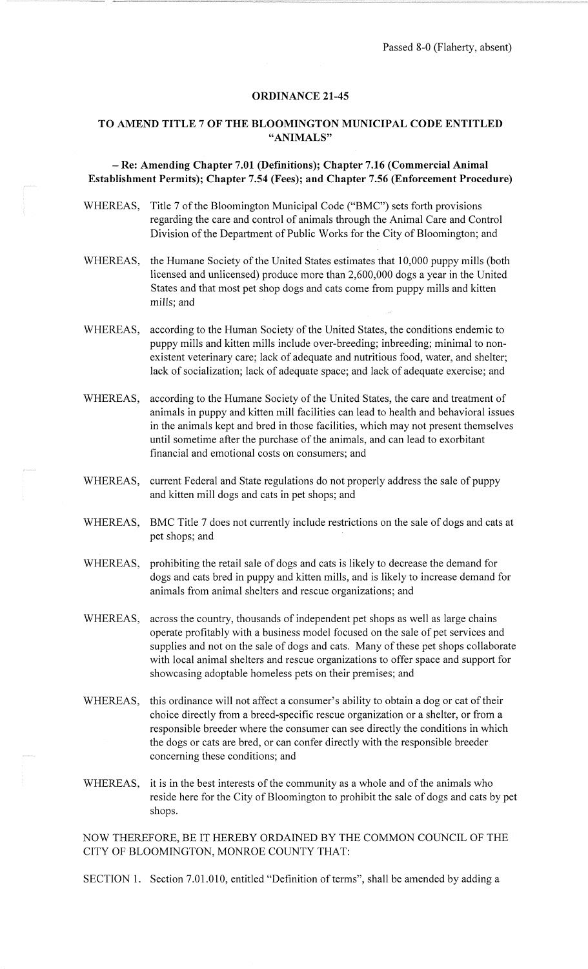## **ORDINANCE 21-45**

## **TO AMEND TITLE** 7 **OF THE BLOOMINGTON MUNICIPAL CODE ENTITLED "ANIMALS"**

## - **Re: Amending Chapter 7.01 (Definitions); Chapter 7.16 (Commercial Animal Establishment Permits); Chapter 7.54 (Fees); and Chapter 7.56 (Enforcement Procedure)**

- WHEREAS, Title 7 of the Bloomington Municipal Code ("BMC") sets forth provisions regarding the care and control of animals through the Animal Care and Control Division of the Department of Public Works for the City of Bloomington; and
- WHEREAS, the Humane Society of the United States estimates that 10,000 puppy mills (both licensed and unlicensed) produce more than 2,600,000 dogs a year in the United States and that most pet shop dogs and cats come from puppy mills and kitten mills; and
- WHEREAS, according to the Human Society of the United States, the conditions endemic to puppy mills and kitten mills include over-breeding; inbreeding; minimal to nonexistent veterinary care; lack of adequate and nutritious food, water, and shelter; lack of socialization; lack of adequate space; and lack of adequate exercise; and
- WHEREAS, according to the Humane Society of the United States, the care and treatment of animals in puppy and kitten mill facilities can lead to health and behavioral issues in the animals kept and bred in those facilities, which may not present themselves until sometime after the purchase of the animals, and can lead to exorbitant financial and emotional costs on consumers; and
- WHEREAS, current Federal and State regulations do not properly address the sale of puppy and kitten mill dogs and cats in pet shops; and
- WHEREAS, BMC Title 7 does not currently include restrictions on the sale of dogs and cats at pet shops; and
- WHEREAS, prohibiting the retail sale of dogs and cats is likely to decrease the demand for dogs and cats bred in puppy and kitten mills, and is likely to increase demand for animals from animal shelters and rescue organizations; and
- WHEREAS, across the country, thousands of independent pet shops as well as large chains operate profitably with a business model focused on the sale of pet services and supplies and not on the sale of dogs and cats. Many of these pet shops collaborate with local animal shelters and rescue organizations to offer space and support for showcasing adoptable homeless pets on their premises; and
- WHEREAS, this ordinance will not affect a consumer's ability to obtain a dog or cat of their choice directly from a breed-specific rescue organization or a shelter, or from a responsible breeder where the consumer can see directly the conditions in which the dogs or cats are bred, or can confer directly with the responsible breeder concerning these conditions; and
- WHEREAS, it is in the best interests of the community as a whole and of the animals who reside here for the City of Bloomington to prohibit the sale of dogs and cats by pet shops.

NOW THEREFORE, BE IT HEREBY ORDAINED BY THE COMMON COUNCIL OF THE CITY OF BLOOMINGTON, MONROE COUNTY THAT:

SECTION 1. Section 7.01.010, entitled "Definition of terms", shall be amended by adding a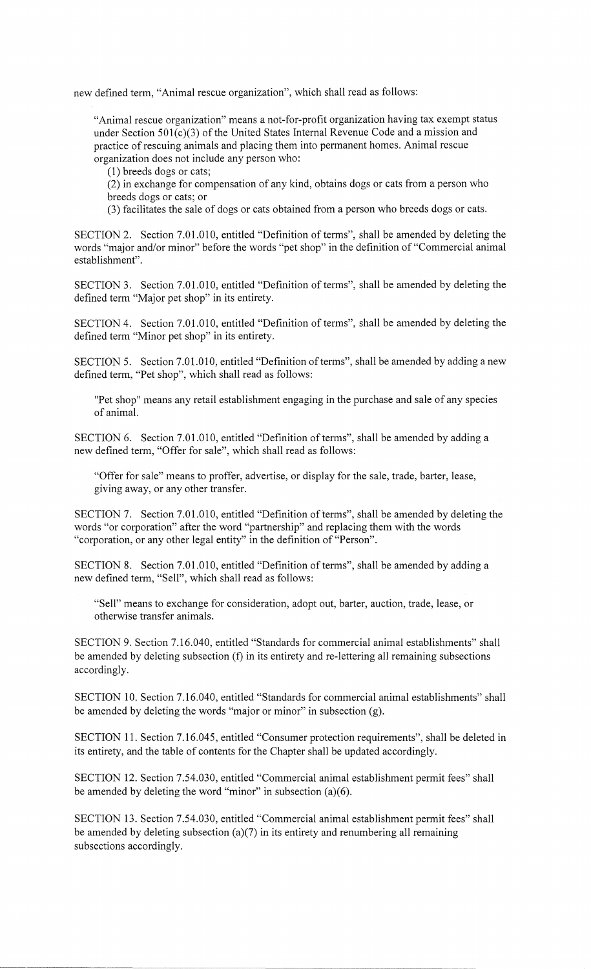new defined term, "Animal rescue organization", which shall read as follows:

"Animal rescue organization" means a not-for-profit organization having tax exempt status under Section 501(c)(3) of the United States Internal Revenue Code and a mission and practice of rescuing animals and placing them into permanent homes. Animal rescue organization does not include any person who:

(1) breeds dogs or cats;

(2) in exchange for compensation of any kind, obtains dogs or cats from a person who breeds dogs or cats; or

(3) facilitates the sale of dogs or cats obtained from a person who breeds dogs or cats.

SECTION 2. Section 7.01.010, entitled "Definition of terms", shall be amended by deleting the words "major and/or minor" before the words "pet shop" in the definition of "Commercial animal establishment".

SECTION 3. Section 7.01.010, entitled "Definition of terms", shall be amended by deleting the defined term "Major pet shop" in its entirety.

SECTION 4. Section 7.0J.010, entitled "Definition of terms", shall be amended by deleting the defined term "Minor pet shop" in its entirety.

SECTION 5. Section 7.01.010, entitled "Definition of terms", shall be amended by adding a new defined term, "Pet shop", which shall read as follows:

"Pet shop" means any retail establishment engaging in the purchase and sale of any species of animal.

SECTION 6. Section 7.01.010, entitled "Definition of terms", shall be amended by adding a new defined term, "Offer for sale", which shall read as follows:

"Offer for sale" means to proffer, advertise, or display for the sale, trade, barter, lease, giving away, or any other transfer.

SECTION 7. Section 7.01.010, entitled "Definition of terms", shall be amended by deleting the words "or corporation" after the word "partnership" and replacing them with the words "corporation, or any other legal entity" in the definition of "Person".

SECTION 8. Section 7.01.010, entitled "Definition of terms", shall be amended by adding a new defined term, "Sell", which shall read as follows:

"Sell" means to exchange for consideration, adopt out, barter, auction, trade, lease, or otherwise transfer animals.

SECTION 9. Section 7.16.040, entitled "Standards for commercial animal establishments" shall be amended by deleting subsection (f) in its entirety and re-lettering all remaining subsections accordingly.

SECTION 10. Section 7.16.040, entitled "Standards for commercial animal establishments" shall be amended by deleting the words "major or minor" in subsection (g).

SECTION 11. Section 7.16.045, entitled "Consumer protection requirements", shall be deleted in its entirety, and the table of contents for the Chapter shall be updated accordingly.

SECTION 12. Section 7.54.030, entitled "Commercial animal establishment permit fees" shall be amended by deleting the word "minor" in subsection  $(a)(6)$ .

SECTION 13. Section 7.54.030, entitled "Commercial animal establishment permit fees" shall be amended by deleting subsection (a)(7) in its entirety and renumbering all remaining subsections accordingly.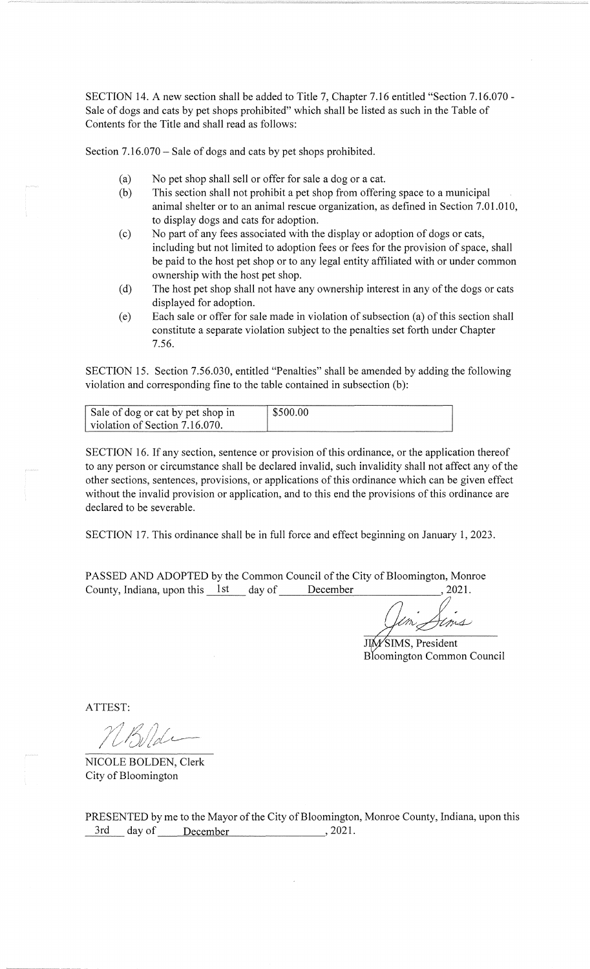SECTION 14. A new section shall be added to Title 7, Chapter 7.16 entitled "Section 7.16.070 - Sale of dogs and cats by pet shops prohibited" which shall be listed as such in the Table of Contents for the Title and shall read as follows:

Section 7.16.070 – Sale of dogs and cats by pet shops prohibited.

- (a) No pet shop shall sell or offer for sale a dog or a cat.
- (b) This section shall not prohibit a pet shop from offering space to a municipal animal shelter or to an animal rescue organization, as defined in Section 7.01.010, to display dogs and cats for adoption.
- (c) No part of any fees associated with the display or adoption of dogs or cats, including but not limited to adoption fees or fees for the provision of space, shall be paid to the host pet shop or to any legal entity affiliated with or under common ownership with the host pet shop.
- (d) The host pet shop shall not have any ownership interest in any of the dogs or cats displayed for adoption.
- (e) Each sale or offer for sale made in violation of subsection (a) of this section shall constitute a separate violation subject to the penalties set forth under Chapter 7.56.

SECTION 15. Section 7.56.030, entitled "Penalties" shall be amended by adding the following violation and corresponding fine to the table contained in subsection (b):

| Sale of dog or cat by pet shop in | \$500.00 |
|-----------------------------------|----------|
| violation of Section 7.16.070.    |          |

SECTION 16. If any section, sentence or provision of this ordinance, or the application thereof to any person or circumstance shall be declared invalid, such invalidity shall not affect any of the other sections, sentences, provisions, or applications of this ordinance which can be given effect without the invalid provision or application, and to this end the provisions of this ordinance are declared to be severable.

SECTION 17. This ordinance shall be in full force and effect beginning on January 1, 2023.

PASSED AND ADOPTED by the Common Council of the City of Bloomington, Monroe County, Indiana, upon this 1st day of December , 2021.

m Jens

JIM/SIMS, President Bloomington Common Council

ATTEST:

NICOLE BOLDEN, Clerk City of Bloomington

PRESENTED by me to the Mayor of the City of Bloomington, Monroe County, Indiana, upon this 3rd day of December , 2021.